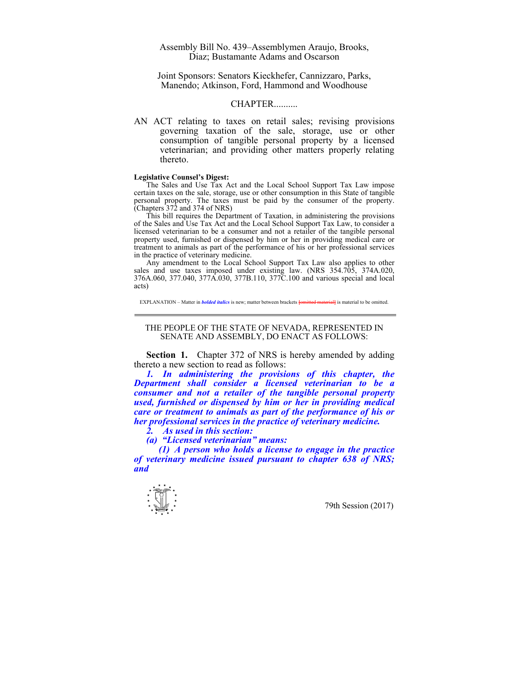## Assembly Bill No. 439–Assemblymen Araujo, Brooks, Diaz; Bustamante Adams and Oscarson

Joint Sponsors: Senators Kieckhefer, Cannizzaro, Parks, Manendo; Atkinson, Ford, Hammond and Woodhouse

## CHAPTER..........

AN ACT relating to taxes on retail sales; revising provisions governing taxation of the sale, storage, use or other consumption of tangible personal property by a licensed veterinarian; and providing other matters properly relating thereto.

## **Legislative Counsel's Digest:**

 The Sales and Use Tax Act and the Local School Support Tax Law impose certain taxes on the sale, storage, use or other consumption in this State of tangible personal property. The taxes must be paid by the consumer of the property.  $(Chapters 372 and 374 of NRS)$ 

 This bill requires the Department of Taxation, in administering the provisions of the Sales and Use Tax Act and the Local School Support Tax Law, to consider a licensed veterinarian to be a consumer and not a retailer of the tangible personal property used, furnished or dispensed by him or her in providing medical care or treatment to animals as part of the performance of his or her professional services in the practice of veterinary medicine.

 Any amendment to the Local School Support Tax Law also applies to other sales and use taxes imposed under existing law. (NRS 354.705, 374A.020, 376A.060, 377.040, 377A.030, 377B.110, 377C.100 and various special and local acts)

EXPLANATION – Matter in *bolded italics* is new; matter between brackets **[**omitted material**]** is material to be omitted.

## THE PEOPLE OF THE STATE OF NEVADA, REPRESENTED IN SENATE AND ASSEMBLY, DO ENACT AS FOLLOWS:

**Section 1.** Chapter 372 of NRS is hereby amended by adding thereto a new section to read as follows:

*1. In administering the provisions of this chapter, the Department shall consider a licensed veterinarian to be a consumer and not a retailer of the tangible personal property used, furnished or dispensed by him or her in providing medical care or treatment to animals as part of the performance of his or her professional services in the practice of veterinary medicine.* 

 *2. As used in this section:* 

 *(a) "Licensed veterinarian" means:* 

 *(1) A person who holds a license to engage in the practice of veterinary medicine issued pursuant to chapter 638 of NRS; and*